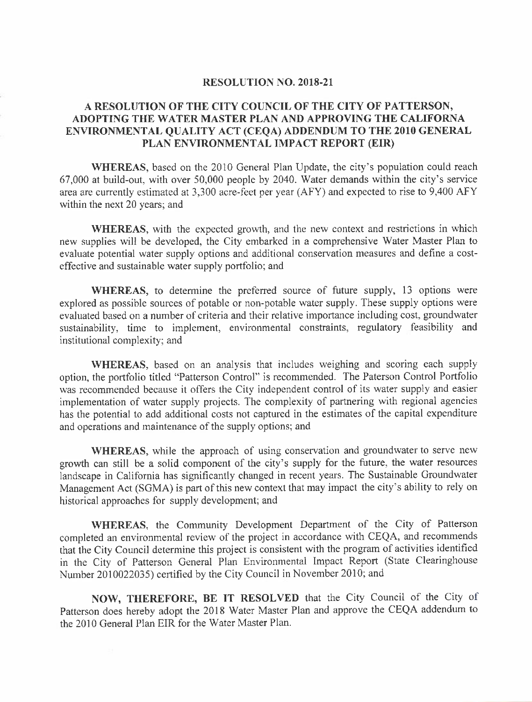## RESOLUTION NO.2018-2I

## A RESOLUTION OF THE CITY COUNCIL OF THE CITY OF PATTERSON, ADOPTING THE WATER MASTER PLAN AND APPROVING THE CALIFORNA ENVIRONMENTAL QUALITY ACT (CEQA) ADDENDUM TO THE 2O1O GENERAL PLAN ENVIRONMENTAL IMPACT REPORT (EIR)

WHEREAS, based on the 2010 General Plan Update, the city's population could reach 67,000 at build-out, with over 50,000 people by 2040. Water demands within the city's service area are currently estimated at 3,300 acre-feet per year (AFY) and expected to rise to 9,400 AFY within the next 20 years; and

WHEREAS, with the expected growth, and the new context and restrictions in which new supplies will be developed, the City embarked in a comprehensive Water Master Plan to evaluate potential water supply options and additional consewation measures and define a costeffective and sustainable water supply portfolio; and

WHEREAS, to determine the preferred source of future supply, 13 options were explored as possible sources of potable or non-potable water supply. These supply options were evaluated based on a number of criteria and their relative importance including cost, groundwater sustainability, time to implement, environmental constraints, regulatory feasibility and institutional complexity; and

WHEREAS, based on an analysis that includes weighing and scoring each supply option, the portfolio titled "Patterson Control" is recommended. The Paterson Control Portfolio was recommended because it offers the City independent control of its water supply and easier implementation of water supply projects. The complexity of partnering with regional agencies has the potential to add additional costs not captured in the estimates of the capital expenditure and operations and maintenance of the supply options; and

WHEREAS, while the approach of using conservation and groundwater to serve new growth can still be a solid component of the city's supply for the future, the water resources landscape in California has significantly changed in recent years. The Sustainable Groundwater Management Act (SGMA) is part of this new context that may impact the city's ability to rely on historical approaches for supply development; and

WHEREAS, the Community Development Department of the City of Patterson completed an environmental review of the project in accordance with CEQA, and recommends that the City Council determine this project is consistent with the program of activities identified in the city of Patterson General Plan Environmental Impact Report (State Clearinghouse Number 2010022035) certified by the City Council in November 2010; and

NOW, THEREFORE, BE IT RESOLVED that the City Council of the City of Patterson does hereby adopt the 2018 water Master Plan and approve the GEQA addendum to the 2010 General Plan EIR for the Water Master Plan.